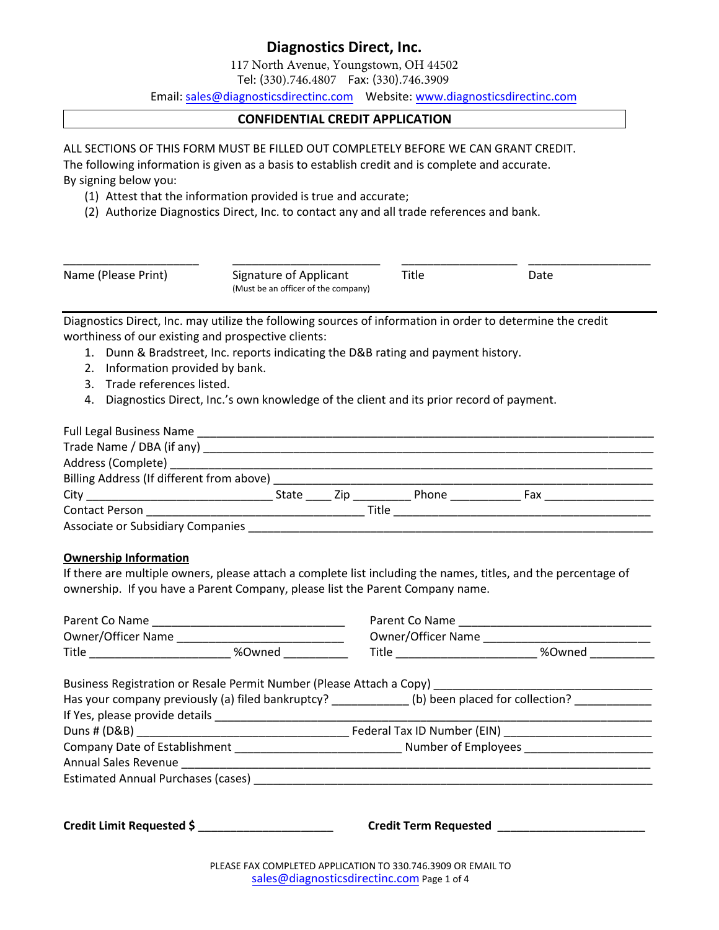117 North Avenue, Youngstown, OH 44502

Tel: (330).746.4807 Fax: (330).746.3909

Email: [sales@diagnosticsdirectinc](mailto:topglove@topgloveusa.com).com Website: www.dia[gnosticsdirectinc.com](http://www.tgmedical.com/)

### **CONFIDENTIAL CREDIT APPLICATION**

ALL SECTIONS OF THIS FORM MUST BE FILLED OUT COMPLETELY BEFORE WE CAN GRANT CREDIT.

The following information is given as a basis to establish credit and is complete and accurate.

By signing below you:

- (1) Attest that the information provided is true and accurate;
- (2) Authorize Diagnostics Direct, Inc. to contact any and all trade references and bank.

| Name (Please Print) | Signature of Applicant<br>(Must be an officer of the company) | Title | Date |  |
|---------------------|---------------------------------------------------------------|-------|------|--|

Diagnostics Direct, Inc. may utilize the following sources of information in order to determine the credit worthiness of our existing and prospective clients:

- 1. Dunn & Bradstreet, Inc. reports indicating the D&B rating and payment history.
- 2. Information provided by bank.
- 3. Trade references listed.
- 4. Diagnostics Direct, Inc.'s own knowledge of the client and its prior record of payment.

|                                   | State | Zip <sub>r</sub> |              | <b>Phone</b> Phone |  |  |
|-----------------------------------|-------|------------------|--------------|--------------------|--|--|
|                                   |       |                  | <b>Title</b> |                    |  |  |
| Associate or Subsidiary Companies |       |                  |              |                    |  |  |

### **Ownership Information**

If there are multiple owners, please attach a complete list including the names, titles, and the percentage of ownership. If you have a Parent Company, please list the Parent Company name.

| Title ______________________________ %Owned ____________ |                                                  |                                                            | Title _________________________________ %Owned _____________                                              |  |  |
|----------------------------------------------------------|--------------------------------------------------|------------------------------------------------------------|-----------------------------------------------------------------------------------------------------------|--|--|
|                                                          |                                                  |                                                            | Business Registration or Resale Permit Number (Please Attach a Copy) _______________________________      |  |  |
|                                                          |                                                  |                                                            | Has your company previously (a) filed bankruptcy? ___________(b) been placed for collection? ____________ |  |  |
|                                                          |                                                  |                                                            |                                                                                                           |  |  |
|                                                          |                                                  |                                                            |                                                                                                           |  |  |
|                                                          |                                                  |                                                            |                                                                                                           |  |  |
|                                                          |                                                  |                                                            |                                                                                                           |  |  |
|                                                          |                                                  |                                                            |                                                                                                           |  |  |
|                                                          | Credit Limit Requested \$ ______________________ |                                                            |                                                                                                           |  |  |
|                                                          |                                                  | DIE LEE EAV COLADIETED A DDUCATION TO 220 746 2000 OD ELLA |                                                                                                           |  |  |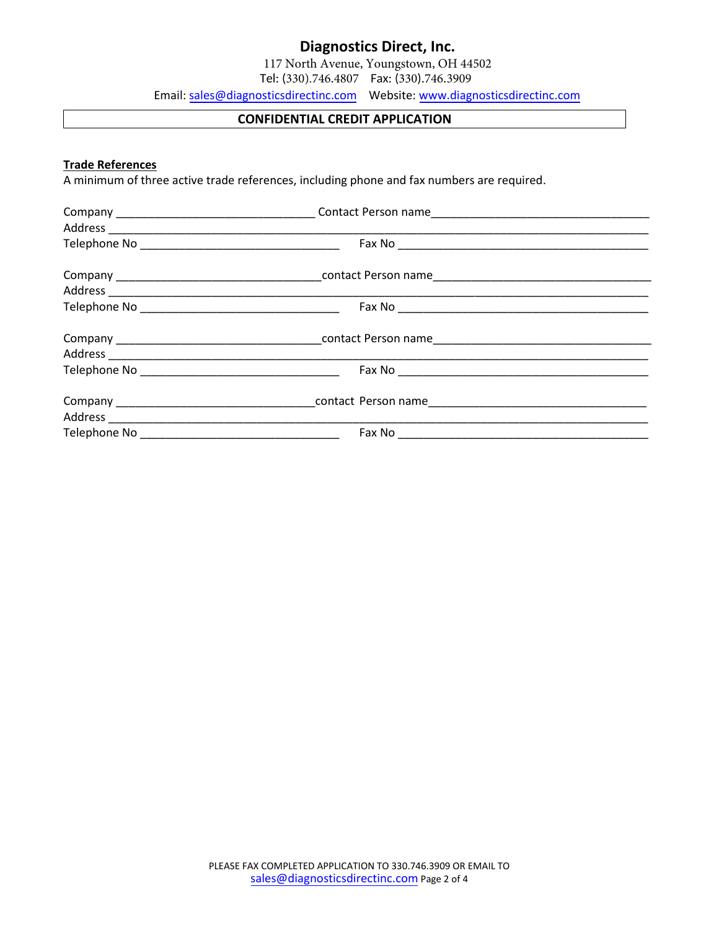117 North Avenue, Youngstown, OH 44502

Tel: (330).746.4807 Fax: (330).746.3909

Email: sales@diagnosticsdirectinc.com Website: www.[diagnosticsdirect](http://www.tgmedical.com/)inc.com

### **CONFIDENTIAL CREDIT APPLICATION**

### **Trade References**

A minimum of three active trade references, including phone and fax numbers are required.

|  | <u> 1989 - Johann John Stoff, deutscher Stoffen und der Stoffen und der Stoffen und der Stoffen und der Stoffen un</u> |
|--|------------------------------------------------------------------------------------------------------------------------|
|  |                                                                                                                        |
|  |                                                                                                                        |
|  |                                                                                                                        |
|  |                                                                                                                        |
|  |                                                                                                                        |
|  |                                                                                                                        |
|  |                                                                                                                        |
|  |                                                                                                                        |
|  |                                                                                                                        |
|  |                                                                                                                        |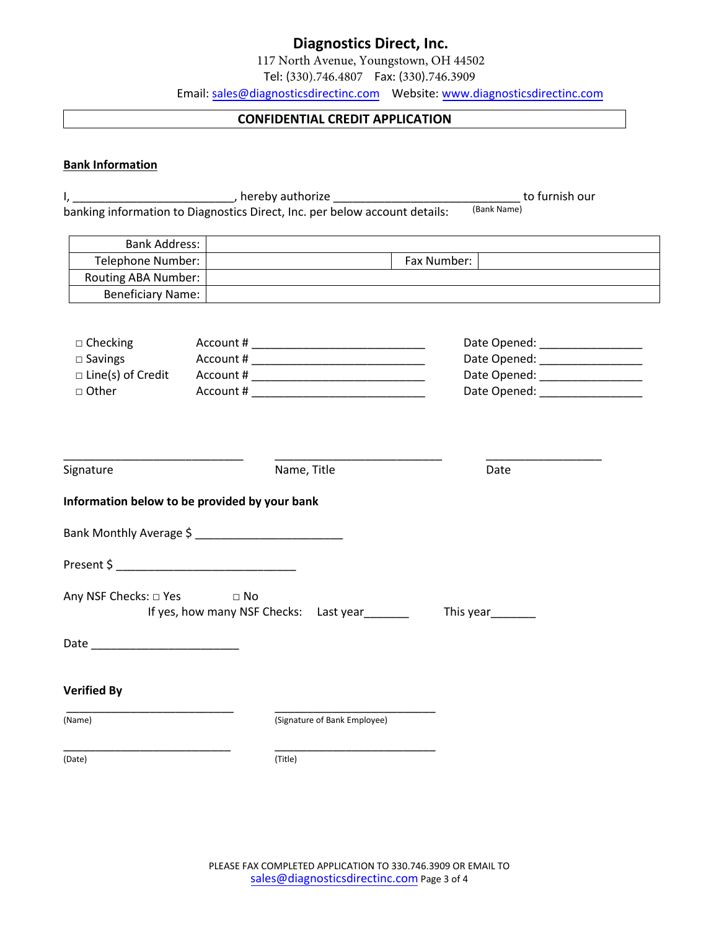117 North Avenue, Youngstown, OH 44502

Tel: (330).746.4807 Fax: (330).746.3909

Email: sales@diagnosticsdirectinc.com Website: www.[diagnosticsd](http://www.tgmedical.com/)irectinc.com

### **CONFIDENTIAL CREDIT APPLICATION**

### **Bank Information**

|                                               |      | I, __________________________________, hereby authorize ________________________ |                   | to furnish our                   |
|-----------------------------------------------|------|----------------------------------------------------------------------------------|-------------------|----------------------------------|
|                                               |      | banking information to Diagnostics Direct, Inc. per below account details:       | (Bank Name)       |                                  |
| <b>Bank Address:</b>                          |      |                                                                                  |                   |                                  |
| Telephone Number:                             |      |                                                                                  | Fax Number:       |                                  |
| Routing ABA Number:                           |      |                                                                                  |                   |                                  |
| <b>Beneficiary Name:</b>                      |      |                                                                                  |                   |                                  |
|                                               |      |                                                                                  |                   |                                  |
| $\Box$ Checking                               |      |                                                                                  |                   | Date Opened: __________________  |
| $\square$ Savings                             |      | Account # ________________________________                                       |                   | Date Opened: ___________________ |
| $\Box$ Line(s) of Credit                      |      |                                                                                  |                   | Date Opened: ___________________ |
| □ Other                                       |      |                                                                                  |                   | Date Opened: ___________________ |
|                                               |      |                                                                                  |                   |                                  |
|                                               |      |                                                                                  |                   |                                  |
|                                               |      |                                                                                  |                   |                                  |
|                                               |      |                                                                                  |                   |                                  |
| Signature                                     |      | Name, Title                                                                      | Date              |                                  |
|                                               |      |                                                                                  |                   |                                  |
| Information below to be provided by your bank |      |                                                                                  |                   |                                  |
|                                               |      |                                                                                  |                   |                                  |
|                                               |      |                                                                                  |                   |                                  |
|                                               |      |                                                                                  |                   |                                  |
|                                               |      |                                                                                  |                   |                                  |
| Any NSF Checks: 0 Yes                         | D No |                                                                                  |                   |                                  |
|                                               |      | If yes, how many NSF Checks: Last year                                           | This year________ |                                  |
|                                               |      |                                                                                  |                   |                                  |
|                                               |      |                                                                                  |                   |                                  |
|                                               |      |                                                                                  |                   |                                  |
|                                               |      |                                                                                  |                   |                                  |
| <b>Verified By</b>                            |      |                                                                                  |                   |                                  |
|                                               |      |                                                                                  |                   |                                  |
| (Name)                                        |      | (Signature of Bank Employee)                                                     |                   |                                  |
|                                               |      |                                                                                  |                   |                                  |
| (Date)                                        |      | (Title)                                                                          |                   |                                  |
|                                               |      |                                                                                  |                   |                                  |
|                                               |      |                                                                                  |                   |                                  |